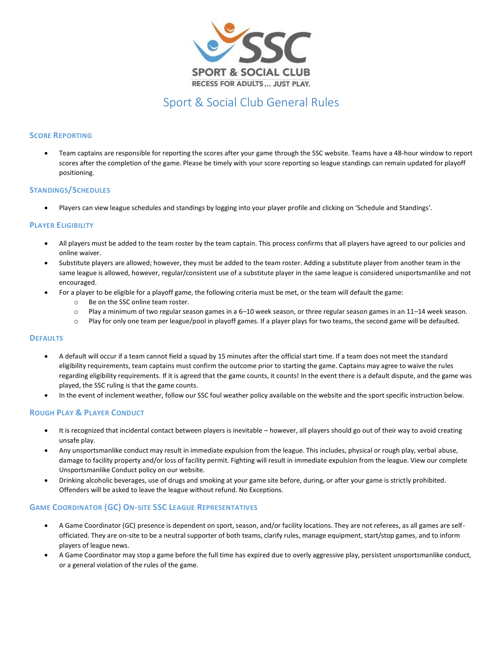

## Sport & Social Club General Rules

### **SCORE REPORTING**

• Team captains are responsible for reporting the scores after your game through the SSC website. Teams have a 48-hour window to report scores after the completion of the game. Please be timely with your score reporting so league standings can remain updated for playoff positioning.

#### **STANDINGS/SCHEDULES**

• Players can view league schedules and standings by logging into your player profile and clicking on 'Schedule and Standings'.

#### **PLAYER ELIGIBILITY**

- All players must be added to the team roster by the team captain. This process confirms that all players have agreed to our policies and online waiver.
- Substitute players are allowed; however, they must be added to the team roster. Adding a substitute player from another team in the same league is allowed, however, regular/consistent use of a substitute player in the same league is considered unsportsmanlike and not encouraged.
- For a player to be eligible for a playoff game, the following criteria must be met, or the team will default the game:
	- o Be on the SSC online team roster.
	- o Play a minimum of two regular season games in a 6–10 week season, or three regular season games in an 11–14 week season.
	- o Play for only one team per league/pool in playoff games. If a player plays for two teams, the second game will be defaulted.

#### **DEFAULTS**

- A default will occur if a team cannot field a squad by 15 minutes after the official start time. If a team does not meet the standard eligibility requirements, team captains must confirm the outcome prior to starting the game. Captains may agree to waive the rules regarding eligibility requirements. If it is agreed that the game counts, it counts! In the event there is a default dispute, and the game was played, the SSC ruling is that the game counts.
- In the event of inclement weather, follow our SSC foul weather policy available on the website and the sport specific instruction below.

#### **ROUGH PLAY & PLAYER CONDUCT**

- It is recognized that incidental contact between players is inevitable however, all players should go out of their way to avoid creating unsafe play.
- Any unsportsmanlike conduct may result in immediate expulsion from the league. This includes, physical or rough play, verbal abuse, damage to facility property and/or loss of facility permit. Fighting will result in immediate expulsion from the league. View our complete Unsportsmanlike Conduct policy on our website.
- Drinking alcoholic beverages, use of drugs and smoking at your game site before, during, or after your game is strictly prohibited. Offenders will be asked to leave the league without refund. No Exceptions.

#### **GAME COORDINATOR (GC) ON-SITE SSC LEAGUE REPRESENTATIVES**

- A Game Coordinator (GC) presence is dependent on sport, season, and/or facility locations. They are not referees, as all games are selfofficiated. They are on-site to be a neutral supporter of both teams, clarify rules, manage equipment, start/stop games, and to inform players of league news.
- A Game Coordinator may stop a game before the full time has expired due to overly aggressive play, persistent unsportsmanlike conduct, or a general violation of the rules of the game.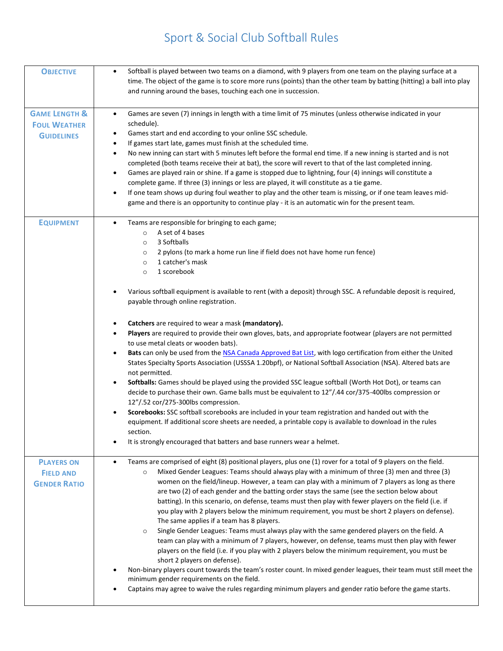# Sport & Social Club Softball Rules

| <b>OBJECTIVE</b>                                                     | Softball is played between two teams on a diamond, with 9 players from one team on the playing surface at a<br>$\bullet$<br>time. The object of the game is to score more runs (points) than the other team by batting (hitting) a ball into play<br>and running around the bases, touching each one in succession.                                                                                                                                                                                                                                                                                                                                                                                                                                                                                                                                                                                                                                                                                                                                                                                                                                                                                                                                                                                                                                                            |
|----------------------------------------------------------------------|--------------------------------------------------------------------------------------------------------------------------------------------------------------------------------------------------------------------------------------------------------------------------------------------------------------------------------------------------------------------------------------------------------------------------------------------------------------------------------------------------------------------------------------------------------------------------------------------------------------------------------------------------------------------------------------------------------------------------------------------------------------------------------------------------------------------------------------------------------------------------------------------------------------------------------------------------------------------------------------------------------------------------------------------------------------------------------------------------------------------------------------------------------------------------------------------------------------------------------------------------------------------------------------------------------------------------------------------------------------------------------|
| <b>GAME LENGTH &amp;</b><br><b>FOUL WEATHER</b><br><b>GUIDELINES</b> | Games are seven (7) innings in length with a time limit of 75 minutes (unless otherwise indicated in your<br>$\bullet$<br>schedule).<br>Games start and end according to your online SSC schedule.<br>٠<br>If games start late, games must finish at the scheduled time.<br>$\bullet$<br>No new inning can start with 5 minutes left before the formal end time. If a new inning is started and is not<br>$\bullet$<br>completed (both teams receive their at bat), the score will revert to that of the last completed inning.<br>Games are played rain or shine. If a game is stopped due to lightning, four (4) innings will constitute a<br>$\bullet$<br>complete game. If three (3) innings or less are played, it will constitute as a tie game.<br>If one team shows up during foul weather to play and the other team is missing, or if one team leaves mid-<br>$\bullet$<br>game and there is an opportunity to continue play - it is an automatic win for the present team.                                                                                                                                                                                                                                                                                                                                                                                          |
| <b>EQUIPMENT</b>                                                     | Teams are responsible for bringing to each game;<br>A set of 4 bases<br>$\circ$<br>3 Softballs<br>$\circ$<br>2 pylons (to mark a home run line if field does not have home run fence)<br>$\circ$<br>1 catcher's mask<br>$\circ$<br>1 scorebook<br>$\circ$                                                                                                                                                                                                                                                                                                                                                                                                                                                                                                                                                                                                                                                                                                                                                                                                                                                                                                                                                                                                                                                                                                                      |
| <b>PLAYERS ON</b>                                                    | Various softball equipment is available to rent (with a deposit) through SSC. A refundable deposit is required,<br>payable through online registration.<br>Catchers are required to wear a mask (mandatory).<br>٠<br>Players are required to provide their own gloves, bats, and appropriate footwear (players are not permitted<br>$\bullet$<br>to use metal cleats or wooden bats).<br>Bats can only be used from the NSA Canada Approved Bat List, with logo certification from either the United<br>$\bullet$<br>States Specialty Sports Association (USSSA 1.20bpf), or National Softball Association (NSA). Altered bats are<br>not permitted.<br>Softballs: Games should be played using the provided SSC league softball (Worth Hot Dot), or teams can<br>$\bullet$<br>decide to purchase their own. Game balls must be equivalent to 12"/.44 cor/375-400lbs compression or<br>12"/.52 cor/275-300lbs compression.<br>Scorebooks: SSC softball scorebooks are included in your team registration and handed out with the<br>$\bullet$<br>equipment. If additional score sheets are needed, a printable copy is available to download in the rules<br>section.<br>It is strongly encouraged that batters and base runners wear a helmet.<br>Teams are comprised of eight (8) positional players, plus one (1) rover for a total of 9 players on the field.<br>$\bullet$ |
| <b>FIELD AND</b><br><b>GENDER RATIO</b>                              | Mixed Gender Leagues: Teams should always play with a minimum of three (3) men and three (3)<br>$\circ$<br>women on the field/lineup. However, a team can play with a minimum of 7 players as long as there<br>are two (2) of each gender and the batting order stays the same (see the section below about<br>batting). In this scenario, on defense, teams must then play with fewer players on the field (i.e. if<br>you play with 2 players below the minimum requirement, you must be short 2 players on defense).<br>The same applies if a team has 8 players.<br>Single Gender Leagues: Teams must always play with the same gendered players on the field. A<br>$\circ$<br>team can play with a minimum of 7 players, however, on defense, teams must then play with fewer<br>players on the field (i.e. if you play with 2 players below the minimum requirement, you must be<br>short 2 players on defense).<br>Non-binary players count towards the team's roster count. In mixed gender leagues, their team must still meet the<br>minimum gender requirements on the field.<br>Captains may agree to waive the rules regarding minimum players and gender ratio before the game starts.                                                                                                                                                                           |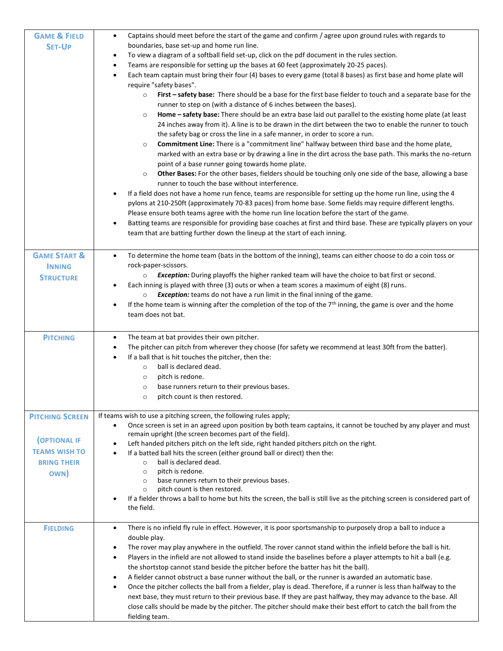| <b>GAME &amp; FIELD</b><br><b>SET-UP</b>                                                           | Captains should meet before the start of the game and confirm / agree upon ground rules with regards to<br>boundaries, base set-up and home run line.<br>To view a diagram of a softball field set-up, click on the pdf document in the rules section.<br>٠<br>Teams are responsible for setting up the bases at 60 feet (approximately 20-25 paces).<br>٠<br>Each team captain must bring their four (4) bases to every game (total 8 bases) as first base and home plate will<br>$\bullet$<br>require "safety bases".<br>First - safety base: There should be a base for the first base fielder to touch and a separate base for the<br>$\circ$<br>runner to step on (with a distance of 6 inches between the bases).<br>Home - safety base: There should be an extra base laid out parallel to the existing home plate (at least<br>$\circ$<br>24 inches away from it). A line is to be drawn in the dirt between the two to enable the runner to touch<br>the safety bag or cross the line in a safe manner, in order to score a run.<br>Commitment Line: There is a "commitment line" halfway between third base and the home plate,<br>$\circ$<br>marked with an extra base or by drawing a line in the dirt across the base path. This marks the no-return<br>point of a base runner going towards home plate.<br>Other Bases: For the other bases, fielders should be touching only one side of the base, allowing a base<br>$\circ$<br>runner to touch the base without interference.<br>If a field does not have a home run fence, teams are responsible for setting up the home run line, using the 4<br>pylons at 210-250ft (approximately 70-83 paces) from home base. Some fields may require different lengths.<br>Please ensure both teams agree with the home run line location before the start of the game.<br>Batting teams are responsible for providing base coaches at first and third base. These are typically players on your<br>team that are batting further down the lineup at the start of each inning. |
|----------------------------------------------------------------------------------------------------|---------------------------------------------------------------------------------------------------------------------------------------------------------------------------------------------------------------------------------------------------------------------------------------------------------------------------------------------------------------------------------------------------------------------------------------------------------------------------------------------------------------------------------------------------------------------------------------------------------------------------------------------------------------------------------------------------------------------------------------------------------------------------------------------------------------------------------------------------------------------------------------------------------------------------------------------------------------------------------------------------------------------------------------------------------------------------------------------------------------------------------------------------------------------------------------------------------------------------------------------------------------------------------------------------------------------------------------------------------------------------------------------------------------------------------------------------------------------------------------------------------------------------------------------------------------------------------------------------------------------------------------------------------------------------------------------------------------------------------------------------------------------------------------------------------------------------------------------------------------------------------------------------------------------------------------------------------------------------------------------------------------------------------------|
| <b>GAME START &amp;</b><br><b>INNING</b><br><b>STRUCTURE</b>                                       | To determine the home team (bats in the bottom of the inning), teams can either choose to do a coin toss or<br>$\bullet$<br>rock-paper-scissors.<br>Exception: During playoffs the higher ranked team will have the choice to bat first or second.<br>$\circ$<br>Each inning is played with three (3) outs or when a team scores a maximum of eight (8) runs.<br>$\bullet$<br>Exception: teams do not have a run limit in the final inning of the game.<br>$\circ$<br>If the home team is winning after the completion of the top of the 7 <sup>th</sup> inning, the game is over and the home<br>٠<br>team does not bat.                                                                                                                                                                                                                                                                                                                                                                                                                                                                                                                                                                                                                                                                                                                                                                                                                                                                                                                                                                                                                                                                                                                                                                                                                                                                                                                                                                                                             |
| <b>PITCHING</b>                                                                                    | The team at bat provides their own pitcher.<br>$\bullet$<br>The pitcher can pitch from wherever they choose (for safety we recommend at least 30ft from the batter).<br>٠<br>If a ball that is hit touches the pitcher, then the:<br>٠<br>ball is declared dead.<br>$\circ$<br>pitch is redone.<br>$\circ$<br>base runners return to their previous bases.<br>$\circ$<br>pitch count is then restored.<br>$\circ$                                                                                                                                                                                                                                                                                                                                                                                                                                                                                                                                                                                                                                                                                                                                                                                                                                                                                                                                                                                                                                                                                                                                                                                                                                                                                                                                                                                                                                                                                                                                                                                                                     |
| <b>PITCHING SCREEN</b><br><b>OPTIONAL IF</b><br><b>TEAMS WISH TO</b><br><b>BRING THEIR</b><br>OWN) | If teams wish to use a pitching screen, the following rules apply;<br>Once screen is set in an agreed upon position by both team captains, it cannot be touched by any player and must<br>$\bullet$<br>remain upright (the screen becomes part of the field).<br>Left handed pitchers pitch on the left side, right handed pitchers pitch on the right.<br>If a batted ball hits the screen (either ground ball or direct) then the:<br>$\bullet$<br>ball is declared dead.<br>$\circ$<br>pitch is redone.<br>$\circ$<br>base runners return to their previous bases.<br>$\circ$<br>pitch count is then restored.<br>$\circ$<br>If a fielder throws a ball to home but hits the screen, the ball is still live as the pitching screen is considered part of<br>the field.                                                                                                                                                                                                                                                                                                                                                                                                                                                                                                                                                                                                                                                                                                                                                                                                                                                                                                                                                                                                                                                                                                                                                                                                                                                             |
| <b>FIELDING</b>                                                                                    | There is no infield fly rule in effect. However, it is poor sportsmanship to purposely drop a ball to induce a<br>$\bullet$<br>double play.<br>The rover may play anywhere in the outfield. The rover cannot stand within the infield before the ball is hit.<br>$\bullet$<br>Players in the infield are not allowed to stand inside the baselines before a player attempts to hit a ball (e.g.<br>$\bullet$<br>the shortstop cannot stand beside the pitcher before the batter has hit the ball).<br>A fielder cannot obstruct a base runner without the ball, or the runner is awarded an automatic base.<br>$\bullet$<br>Once the pitcher collects the ball from a fielder, play is dead. Therefore, if a runner is less than halfway to the<br>$\bullet$<br>next base, they must return to their previous base. If they are past halfway, they may advance to the base. All<br>close calls should be made by the pitcher. The pitcher should make their best effort to catch the ball from the<br>fielding team.                                                                                                                                                                                                                                                                                                                                                                                                                                                                                                                                                                                                                                                                                                                                                                                                                                                                                                                                                                                                                  |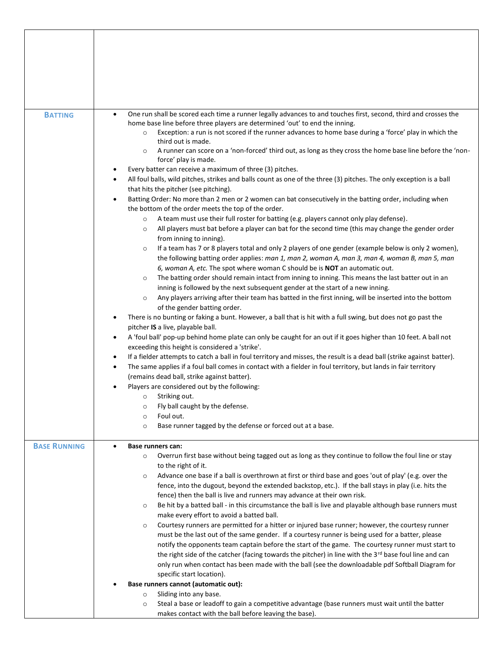| <b>BATTING</b>      | One run shall be scored each time a runner legally advances to and touches first, second, third and crosses the<br>$\bullet$<br>home base line before three players are determined 'out' to end the inning.<br>Exception: a run is not scored if the runner advances to home base during a 'force' play in which the<br>$\circ$<br>third out is made.<br>A runner can score on a 'non-forced' third out, as long as they cross the home base line before the 'non-<br>$\circ$<br>force' play is made.<br>Every batter can receive a maximum of three (3) pitches.<br>All foul balls, wild pitches, strikes and balls count as one of the three (3) pitches. The only exception is a ball<br>that hits the pitcher (see pitching).<br>Batting Order: No more than 2 men or 2 women can bat consecutively in the batting order, including when<br>the bottom of the order meets the top of the order.<br>A team must use their full roster for batting (e.g. players cannot only play defense).<br>$\circ$<br>All players must bat before a player can bat for the second time (this may change the gender order<br>$\circ$<br>from inning to inning).<br>If a team has 7 or 8 players total and only 2 players of one gender (example below is only 2 women),<br>$\circ$<br>the following batting order applies: man 1, man 2, woman A, man 3, man 4, woman B, man 5, man<br>6, woman A, etc. The spot where woman C should be is <b>NOT</b> an automatic out.<br>The batting order should remain intact from inning to inning. This means the last batter out in an<br>$\circ$<br>inning is followed by the next subsequent gender at the start of a new inning.<br>Any players arriving after their team has batted in the first inning, will be inserted into the bottom<br>$\circ$<br>of the gender batting order.<br>There is no bunting or faking a bunt. However, a ball that is hit with a full swing, but does not go past the<br>pitcher IS a live, playable ball.<br>A 'foul ball' pop-up behind home plate can only be caught for an out if it goes higher than 10 feet. A ball not<br>exceeding this height is considered a 'strike'.<br>If a fielder attempts to catch a ball in foul territory and misses, the result is a dead ball (strike against batter).<br>$\bullet$<br>The same applies if a foul ball comes in contact with a fielder in foul territory, but lands in fair territory<br>(remains dead ball, strike against batter).<br>Players are considered out by the following:<br>Striking out.<br>$\circ$<br>Fly ball caught by the defense.<br>$\circ$<br>Foul out.<br>$\circ$<br>Base runner tagged by the defense or forced out at a base.<br>$\circ$ |
|---------------------|--------------------------------------------------------------------------------------------------------------------------------------------------------------------------------------------------------------------------------------------------------------------------------------------------------------------------------------------------------------------------------------------------------------------------------------------------------------------------------------------------------------------------------------------------------------------------------------------------------------------------------------------------------------------------------------------------------------------------------------------------------------------------------------------------------------------------------------------------------------------------------------------------------------------------------------------------------------------------------------------------------------------------------------------------------------------------------------------------------------------------------------------------------------------------------------------------------------------------------------------------------------------------------------------------------------------------------------------------------------------------------------------------------------------------------------------------------------------------------------------------------------------------------------------------------------------------------------------------------------------------------------------------------------------------------------------------------------------------------------------------------------------------------------------------------------------------------------------------------------------------------------------------------------------------------------------------------------------------------------------------------------------------------------------------------------------------------------------------------------------------------------------------------------------------------------------------------------------------------------------------------------------------------------------------------------------------------------------------------------------------------------------------------------------------------------------------------------------------------------------------------------------------------------------------------------------------------------------------------------------------------------------------------------------------------------|
| <b>BASE RUNNING</b> | Base runners can:<br>Overrun first base without being tagged out as long as they continue to follow the foul line or stay<br>$\circ$<br>to the right of it.<br>Advance one base if a ball is overthrown at first or third base and goes 'out of play' (e.g. over the<br>$\circ$<br>fence, into the dugout, beyond the extended backstop, etc.). If the ball stays in play (i.e. hits the<br>fence) then the ball is live and runners may advance at their own risk.<br>Be hit by a batted ball - in this circumstance the ball is live and playable although base runners must<br>$\circ$<br>make every effort to avoid a batted ball.<br>Courtesy runners are permitted for a hitter or injured base runner; however, the courtesy runner<br>$\circ$<br>must be the last out of the same gender. If a courtesy runner is being used for a batter, please<br>notify the opponents team captain before the start of the game. The courtesy runner must start to<br>the right side of the catcher (facing towards the pitcher) in line with the 3rd base foul line and can<br>only run when contact has been made with the ball (see the downloadable pdf Softball Diagram for<br>specific start location).<br>Base runners cannot (automatic out):                                                                                                                                                                                                                                                                                                                                                                                                                                                                                                                                                                                                                                                                                                                                                                                                                                                                                                                                                                                                                                                                                                                                                                                                                                                                                                                                                                                                                                    |
|                     | Sliding into any base.<br>$\circ$<br>Steal a base or leadoff to gain a competitive advantage (base runners must wait until the batter<br>$\circ$                                                                                                                                                                                                                                                                                                                                                                                                                                                                                                                                                                                                                                                                                                                                                                                                                                                                                                                                                                                                                                                                                                                                                                                                                                                                                                                                                                                                                                                                                                                                                                                                                                                                                                                                                                                                                                                                                                                                                                                                                                                                                                                                                                                                                                                                                                                                                                                                                                                                                                                                     |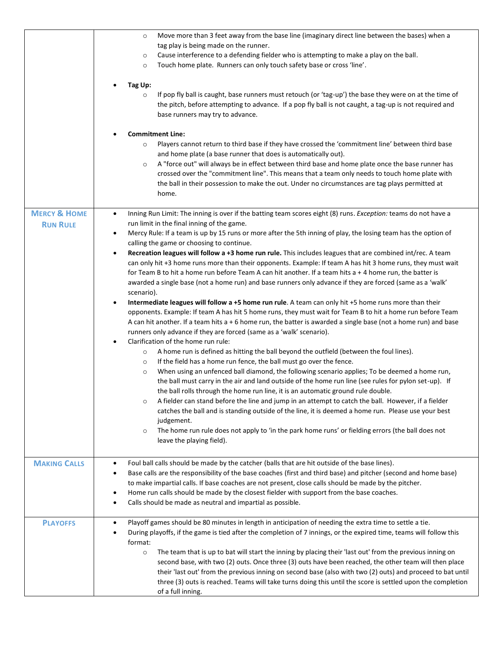|                                            | Move more than 3 feet away from the base line (imaginary direct line between the bases) when a<br>$\circ$<br>tag play is being made on the runner.<br>Cause interference to a defending fielder who is attempting to make a play on the ball.<br>$\circ$<br>Touch home plate. Runners can only touch safety base or cross 'line'.<br>$\circ$<br>Tag Up:<br>If pop fly ball is caught, base runners must retouch (or 'tag-up') the base they were on at the time of<br>$\circ$<br>the pitch, before attempting to advance. If a pop fly ball is not caught, a tag-up is not required and<br>base runners may try to advance.<br><b>Commitment Line:</b><br>Players cannot return to third base if they have crossed the 'commitment line' between third base<br>$\circ$<br>and home plate (a base runner that does is automatically out).<br>A "force out" will always be in effect between third base and home plate once the base runner has<br>$\circ$<br>crossed over the "commitment line". This means that a team only needs to touch home plate with<br>the ball in their possession to make the out. Under no circumstances are tag plays permitted at<br>home.                                                                                                                                                                                                                                                                                                                                                                                                                                                                                                                                                                                                                                                                                                                                                                                                                                                                                                                                                                                                                                         |
|--------------------------------------------|----------------------------------------------------------------------------------------------------------------------------------------------------------------------------------------------------------------------------------------------------------------------------------------------------------------------------------------------------------------------------------------------------------------------------------------------------------------------------------------------------------------------------------------------------------------------------------------------------------------------------------------------------------------------------------------------------------------------------------------------------------------------------------------------------------------------------------------------------------------------------------------------------------------------------------------------------------------------------------------------------------------------------------------------------------------------------------------------------------------------------------------------------------------------------------------------------------------------------------------------------------------------------------------------------------------------------------------------------------------------------------------------------------------------------------------------------------------------------------------------------------------------------------------------------------------------------------------------------------------------------------------------------------------------------------------------------------------------------------------------------------------------------------------------------------------------------------------------------------------------------------------------------------------------------------------------------------------------------------------------------------------------------------------------------------------------------------------------------------------------------------------------------------------------------------------------------------------|
| <b>MERCY &amp; HOME</b><br><b>RUN RULE</b> | Inning Run Limit: The inning is over if the batting team scores eight (8) runs. Exception: teams do not have a<br>$\bullet$<br>run limit in the final inning of the game.<br>Mercy Rule: If a team is up by 15 runs or more after the 5th inning of play, the losing team has the option of<br>$\bullet$<br>calling the game or choosing to continue.<br>Recreation leagues will follow a +3 home run rule. This includes leagues that are combined int/rec. A team<br>$\bullet$<br>can only hit +3 home runs more than their opponents. Example: If team A has hit 3 home runs, they must wait<br>for Team B to hit a home run before Team A can hit another. If a team hits a + 4 home run, the batter is<br>awarded a single base (not a home run) and base runners only advance if they are forced (same as a 'walk'<br>scenario).<br>Intermediate leagues will follow a +5 home run rule. A team can only hit +5 home runs more than their<br>$\bullet$<br>opponents. Example: If team A has hit 5 home runs, they must wait for Team B to hit a home run before Team<br>A can hit another. If a team hits a + 6 home run, the batter is awarded a single base (not a home run) and base<br>runners only advance if they are forced (same as a 'walk' scenario).<br>Clarification of the home run rule:<br>$\bullet$<br>A home run is defined as hitting the ball beyond the outfield (between the foul lines).<br>$\circ$<br>If the field has a home run fence, the ball must go over the fence.<br>$\circ$<br>When using an unfenced ball diamond, the following scenario applies; To be deemed a home run,<br>$\circ$<br>the ball must carry in the air and land outside of the home run line (see rules for pylon set-up). If<br>the ball rolls through the home run line, it is an automatic ground rule double.<br>A fielder can stand before the line and jump in an attempt to catch the ball. However, if a fielder<br>$\circ$<br>catches the ball and is standing outside of the line, it is deemed a home run. Please use your best<br>judgement.<br>The home run rule does not apply to 'in the park home runs' or fielding errors (the ball does not<br>$\circ$<br>leave the playing field). |
| <b>MAKING CALLS</b>                        | Foul ball calls should be made by the catcher (balls that are hit outside of the base lines).<br>٠<br>Base calls are the responsibility of the base coaches (first and third base) and pitcher (second and home base)<br>٠<br>to make impartial calls. If base coaches are not present, close calls should be made by the pitcher.<br>Home run calls should be made by the closest fielder with support from the base coaches.<br>$\bullet$<br>Calls should be made as neutral and impartial as possible.<br>٠                                                                                                                                                                                                                                                                                                                                                                                                                                                                                                                                                                                                                                                                                                                                                                                                                                                                                                                                                                                                                                                                                                                                                                                                                                                                                                                                                                                                                                                                                                                                                                                                                                                                                                 |
| <b>PLAYOFFS</b>                            | Playoff games should be 80 minutes in length in anticipation of needing the extra time to settle a tie.<br>$\bullet$<br>During playoffs, if the game is tied after the completion of 7 innings, or the expired time, teams will follow this<br>format:<br>The team that is up to bat will start the inning by placing their 'last out' from the previous inning on<br>$\circ$<br>second base, with two (2) outs. Once three (3) outs have been reached, the other team will then place<br>their 'last out' from the previous inning on second base (also with two (2) outs) and proceed to bat until<br>three (3) outs is reached. Teams will take turns doing this until the score is settled upon the completion<br>of a full inning.                                                                                                                                                                                                                                                                                                                                                                                                                                                                                                                                                                                                                                                                                                                                                                                                                                                                                                                                                                                                                                                                                                                                                                                                                                                                                                                                                                                                                                                                        |